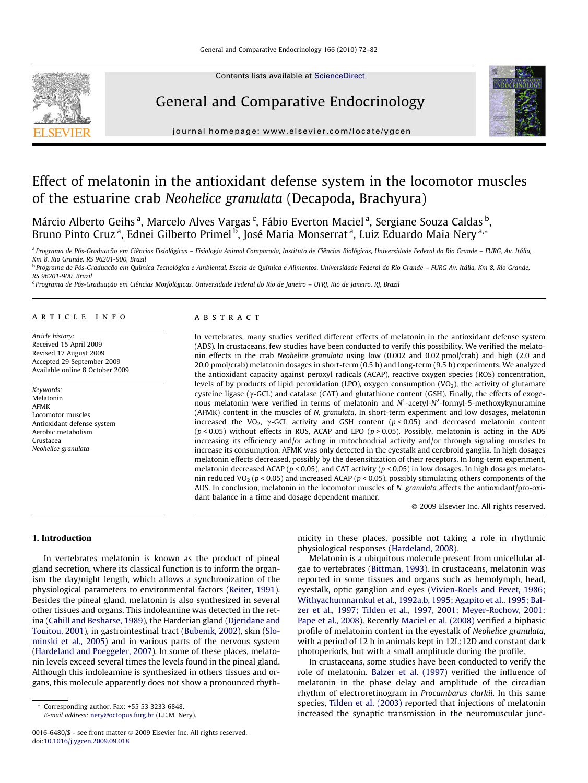

Contents lists available at [ScienceDirect](http://www.sciencedirect.com/science/journal/00166480)

# General and Comparative Endocrinology



journal homepage: [www.elsevier.com/locate/ygcen](http://www.elsevier.com/locate/ygcen)

# Effect of melatonin in the antioxidant defense system in the locomotor muscles of the estuarine crab Neohelice granulata (Decapoda, Brachyura)

Márcio Alberto Geihs<sup>a</sup>, Marcelo Alves Vargas<sup>c</sup>, Fábio Everton Maciel<sup>a</sup>, Sergiane Souza Caldas<sup>b</sup>, Bruno Pinto Cruz <sup>a</sup>, Ednei Gilberto Primel <sup>b</sup>, José Maria Monserrat <sup>a</sup>, Luiz Eduardo Maia Nery <sup>a,</sup>\*

a Programa de Pós-Graduacão em Ciências Fisiológicas – Fisiologia Animal Comparada, Instituto de Ciências Biológicas, Universidade Federal do Rio Grande – FURG, Av. Itália, Km 8, Rio Grande, RS 96201-900, Brazil

<sup>b</sup> Programa de Pós-Graduacão em Química Tecnológica e Ambiental, Escola de Química e Alimentos, Universidade Federal do Rio Grande - FURG Av. Itália, Km 8, Rio Grande, RS 96201-900, Brazil

<sup>c</sup> Programa de Pós-Graduação em Ciências Morfológicas, Universidade Federal do Rio de Janeiro – UFRJ, Rio de Janeiro, RJ, Brazil

## article info

Article history: Received 15 April 2009 Revised 17 August 2009 Accepted 29 September 2009 Available online 8 October 2009

Keywords: Melatonin AFMK Locomotor muscles Antioxidant defense system Aerobic metabolism Crustacea Neohelice granulata

## **ABSTRACT**

In vertebrates, many studies verified different effects of melatonin in the antioxidant defense system (ADS). In crustaceans, few studies have been conducted to verify this possibility. We verified the melatonin effects in the crab Neohelice granulata using low (0.002 and 0.02 pmol/crab) and high (2.0 and 20.0 pmol/crab) melatonin dosages in short-term (0.5 h) and long-term (9.5 h) experiments. We analyzed the antioxidant capacity against peroxyl radicals (ACAP), reactive oxygen species (ROS) concentration, levels of by products of lipid peroxidation (LPO), oxygen consumption  $(VO<sub>2</sub>)$ , the activity of glutamate cysteine ligase ( $\gamma$ -GCL) and catalase (CAT) and glutathione content (GSH). Finally, the effects of exogenous melatonin were verified in terms of melatonin and  $N^1$ -acetyl- $N^2$ -formyl-5-methoxykynuramine (AFMK) content in the muscles of N. granulata. In short-term experiment and low dosages, melatonin increased the VO<sub>2</sub>,  $\gamma$ -GCL activity and GSH content ( $p < 0.05$ ) and decreased melatonin content ( $p$  < 0.05) without effects in ROS, ACAP and LPO ( $p$  > 0.05). Possibly, melatonin is acting in the ADS increasing its efficiency and/or acting in mitochondrial activity and/or through signaling muscles to increase its consumption. AFMK was only detected in the eyestalk and cerebroid ganglia. In high dosages melatonin effects decreased, possibly by the desensitization of their receptors. In long-term experiment, melatonin decreased ACAP ( $p < 0.05$ ), and CAT activity ( $p < 0.05$ ) in low dosages. In high dosages melatonin reduced VO<sub>2</sub> ( $p$  < 0.05) and increased ACAP ( $p$  < 0.05), possibly stimulating others components of the ADS. In conclusion, melatonin in the locomotor muscles of N. granulata affects the antioxidant/pro-oxidant balance in a time and dosage dependent manner.

- 2009 Elsevier Inc. All rights reserved.

# 1. Introduction

In vertebrates melatonin is known as the product of pineal gland secretion, where its classical function is to inform the organism the day/night length, which allows a synchronization of the physiological parameters to environmental factors [\(Reiter, 1991\)](#page-9-0). Besides the pineal gland, melatonin is also synthesized in several other tissues and organs. This indoleamine was detected in the retina [\(Cahill and Besharse, 1989\)](#page-9-0), the Harderian gland [\(Djeridane and](#page-9-0) [Touitou, 2001](#page-9-0)), in gastrointestinal tract ([Bubenik, 2002\)](#page-9-0), skin [\(Slo](#page-10-0)[minski et al., 2005](#page-10-0)) and in various parts of the nervous system ([Hardeland and Poeggeler, 2007\)](#page-9-0). In some of these places, melatonin levels exceed several times the levels found in the pineal gland. Although this indoleamine is synthesized in others tissues and organs, this molecule apparently does not show a pronounced rhyth-

\* Corresponding author. Fax: +55 53 3233 6848.

E-mail address: [nery@octopus.furg.br](mailto:nery@octopus.furg.br) (L.E.M. Nery).

micity in these places, possible not taking a role in rhythmic physiological responses ([Hardeland, 2008\)](#page-9-0).

Melatonin is a ubiquitous molecule present from unicellular algae to vertebrates [\(Bittman, 1993](#page-9-0)). In crustaceans, melatonin was reported in some tissues and organs such as hemolymph, head, eyestalk, optic ganglion and eyes ([Vivien-Roels and Pevet, 1986;](#page-10-0) [Withyachumnarnkul et al., 1992a,b, 1995; Agapito et al., 1995; Bal](#page-10-0)[zer et al., 1997; Tilden et al., 1997, 2001; Meyer-Rochow, 2001;](#page-10-0) [Pape et al., 2008](#page-10-0)). Recently [Maciel et al. \(2008\)](#page-9-0) verified a biphasic profile of melatonin content in the eyestalk of Neohelice granulata, with a period of 12 h in animals kept in 12L:12D and constant dark photoperiods, but with a small amplitude during the profile.

In crustaceans, some studies have been conducted to verify the role of melatonin. [Balzer et al. \(1997\)](#page-9-0) verified the influence of melatonin in the phase delay and amplitude of the circadian rhythm of electroretinogram in Procambarus clarkii. In this same species, [Tilden et al. \(2003\)](#page-10-0) reported that injections of melatonin increased the synaptic transmission in the neuromuscular junc-

<sup>0016-6480/\$ -</sup> see front matter © 2009 Elsevier Inc. All rights reserved. doi:[10.1016/j.ygcen.2009.09.018](http://dx.doi.org/10.1016/j.ygcen.2009.09.018)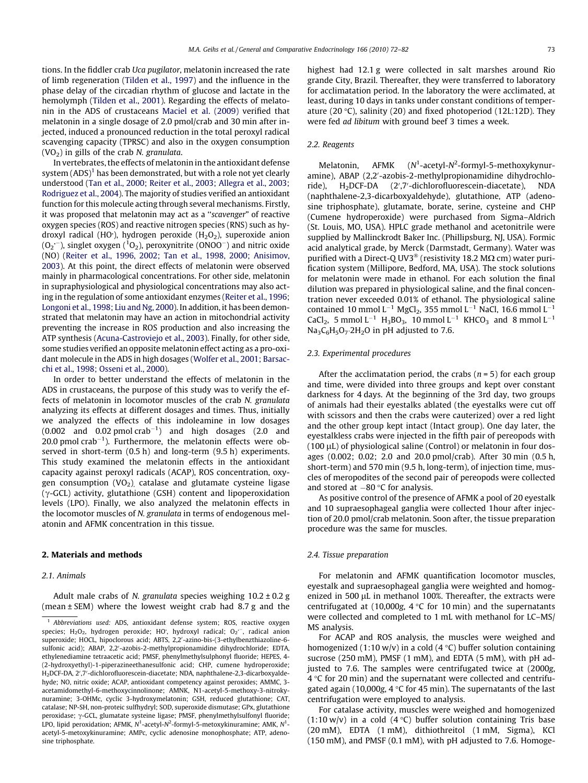tions. In the fiddler crab Uca pugilator, melatonin increased the rate of limb regeneration ([Tilden et al., 1997\)](#page-10-0) and the influence in the phase delay of the circadian rhythm of glucose and lactate in the hemolymph [\(Tilden et al., 2001\)](#page-10-0). Regarding the effects of melatonin in the ADS of crustaceans [Maciel et al. \(2009\)](#page-9-0) verified that melatonin in a single dosage of 2.0 pmol/crab and 30 min after injected, induced a pronounced reduction in the total peroxyl radical scavenging capacity (TPRSC) and also in the oxygen consumption  $(VO<sub>2</sub>)$  in gills of the crab N. granulata.

In vertebrates, the effects of melatonin in the antioxidant defense system  $(ADS)^1$  has been demonstrated, but with a role not yet clearly understood ([Tan et al., 2000; Reiter et al., 2003; Allegra et al., 2003;](#page-10-0) [Rodriguez et al., 2004](#page-10-0)). The majority of studies verified an antioxidant function for this molecule acting through several mechanisms. Firstly, it was proposed that melatonin may act as a ''scavenger" of reactive oxygen species (ROS) and reactive nitrogen species (RNS) such as hydroxyl radical (HO<sup>-</sup>), hydrogen peroxide (H<sub>2</sub>O<sub>2</sub>), superoxide anion  $(0_2 - )$ , singlet oxygen  $(^10_2)$ , peroxynitrite  $(0N00<sup>-</sup>)$  and nitric oxide (NO) ([Reiter et al., 1996, 2002; Tan et al., 1998, 2000; Anisimov,](#page-9-0) [2003\)](#page-9-0). At this point, the direct effects of melatonin were observed mainly in pharmacological concentrations. For other side, melatonin in supraphysiological and physiological concentrations may also acting in the regulation of some antioxidant enzymes [\(Reiter et al., 1996;](#page-9-0) [Longoni et al., 1998; Liu and Ng, 2000\)](#page-9-0). In addition, it has been demonstrated that melatonin may have an action in mitochondrial activity preventing the increase in ROS production and also increasing the ATP synthesis [\(Acuna-Castroviejo et al., 2003](#page-9-0)). Finally, for other side, some studies verified an opposite melatonin effect acting as a pro-oxidant molecule in the ADS in high dosages [\(Wolfer et al., 2001; Barsac](#page-10-0)[chi et al., 1998; Osseni et al., 2000\)](#page-10-0).

In order to better understand the effects of melatonin in the ADS in crustaceans, the purpose of this study was to verify the effects of melatonin in locomotor muscles of the crab N. granulata analyzing its effects at different dosages and times. Thus, initially we analyzed the effects of this indoleamine in low dosages  $(0.002 \text{ and } 0.02 \text{ pmol crab}^{-1})$  and high dosages  $(2.0 \text{ and } 0.02 \text{ pmol crab}^{-1})$ 20.0 pmol crab<sup>-1</sup>). Furthermore, the melatonin effects were observed in short-term (0.5 h) and long-term (9.5 h) experiments. This study examined the melatonin effects in the antioxidant capacity against peroxyl radicals (ACAP), ROS concentration, oxygen consumption  $(VO<sub>2</sub>)$  catalase and glutamate cysteine ligase  $(\gamma$ -GCL) activity, glutathione (GSH) content and lipoperoxidation levels (LPO). Finally, we also analyzed the melatonin effects in the locomotor muscles of N. granulata in terms of endogenous melatonin and AFMK concentration in this tissue.

#### 2. Materials and methods

## 2.1. Animals

Adult male crabs of N. granulata species weighing  $10.2 \pm 0.2$  g (mean ± SEM) where the lowest weight crab had 8.7 g and the highest had 12.1 g were collected in salt marshes around Rio grande City, Brazil. Thereafter, they were transferred to laboratory for acclimatation period. In the laboratory the were acclimated, at least, during 10 days in tanks under constant conditions of temperature (20 $\degree$ C), salinity (20) and fixed photoperiod (12L:12D). They were fed ad libitum with ground beef 3 times a week.

#### 2.2. Reagents

Melatonin, AFMK -acetyl-N<sup>2</sup>-formyl-5-methoxykynuramine), ABAP (2,2'-azobis-2-methylpropionamidine dihydrochloride), H2DCF-DA (2',7'-dichlorofluorescein-diacetate), NDA (naphthalene-2,3-dicarboxyaldehyde), glutathione, ATP (adenosine triphosphate), glutamate, borate, serine, cysteine and CHP (Cumene hydroperoxide) were purchased from Sigma–Aldrich (St. Louis, MO, USA). HPLC grade methanol and acetonitrile were supplied by Mallinckrodt Baker Inc. (Phillipsburg, NJ, USA). Formic acid analytical grade, by Merck (Darmstadt, Germany). Water was purified with a Direct-Q UV3<sup>®</sup> (resistivity 18.2 M $\Omega$  cm) water purification system (Millipore, Bedford, MA, USA). The stock solutions for melatonin were made in ethanol. For each solution the final dilution was prepared in physiological saline, and the final concentration never exceeded 0.01% of ethanol. The physiological saline contained 10 mmol  $L^{-1}$  MgCl<sub>2</sub>, 355 mmol  $L^{-1}$  NaCl, 16.6 mmol  $L^{-1}$  $CaCl_2$ , 5 mmol L<sup>-1</sup> H<sub>3</sub>BO<sub>3</sub>, 10 mmol L<sup>-1</sup> KHCO<sub>3</sub> and 8 mmol L<sup>-1</sup>  $Na<sub>3</sub>C<sub>6</sub>H<sub>5</sub>O<sub>7</sub>·2H<sub>2</sub>O$  in pH adjusted to 7.6.

## 2.3. Experimental procedures

After the acclimatation period, the crabs ( $n = 5$ ) for each group and time, were divided into three groups and kept over constant darkness for 4 days. At the beginning of the 3rd day, two groups of animals had their eyestalks ablated (the eyestalks were cut off with scissors and then the crabs were cauterized) over a red light and the other group kept intact (Intact group). One day later, the eyestalkless crabs were injected in the fifth pair of pereopods with  $(100 \mu L)$  of physiological saline (Control) or melatonin in four dosages (0.002; 0.02; 2.0 and 20.0 pmol/crab). After 30 min (0.5 h, short-term) and 570 min (9.5 h, long-term), of injection time, muscles of meropodites of the second pair of pereopods were collected and stored at  $-80$  °C for analysis.

As positive control of the presence of AFMK a pool of 20 eyestalk and 10 supraesophageal ganglia were collected 1hour after injection of 20.0 pmol/crab melatonin. Soon after, the tissue preparation procedure was the same for muscles.

#### 2.4. Tissue preparation

For melatonin and AFMK quantification locomotor muscles, eyestalk and supraesophageal ganglia were weighted and homogenized in 500 µL in methanol 100%. Thereafter, the extracts were centrifugated at (10,000g,  $4^{\circ}$ C for 10 min) and the supernatants were collected and completed to 1 mL with methanol for LC–MS/ MS analysis.

For ACAP and ROS analysis, the muscles were weighed and homogenized (1:10 w/v) in a cold (4  $\degree$ C) buffer solution containing sucrose (250 mM), PMSF (1 mM), and EDTA (5 mM), with pH adjusted to 7.6. The samples were centrifugated twice at (2000g,  $4^{\circ}$ C for 20 min) and the supernatant were collected and centrifugated again (10,000g, 4  $\degree$ C for 45 min). The supernatants of the last centrifugation were employed to analysis.

For catalase activity, muscles were weighed and homogenized  $(1:10 \text{ w/v})$  in a cold  $(4 \text{ }^{\circ}\text{C})$  buffer solution containing Tris base (20 mM), EDTA (1 mM), dithiothreitol (1 mM, Sigma), KCl (150 mM), and PMSF (0.1 mM), with pH adjusted to 7.6. Homoge-

Abbreviations used: ADS, antioxidant defense system; ROS, reactive oxygen species;  $H_2O_2$ , hydrogen peroxide; HO; hydroxyl radical;  $O_2$ <sup>-</sup>, radical anion superoxide; HOCL, hipoclorous acid; ABTS, 2,2'-azino-bis-(3-ethylbenzthiazoline-6sulfonic acid); ABAP, 2,2'-azobis-2-methylpropionamidine dihydrochloride; EDTA, ethylenediamine tetraacetic acid; PMSF, phenylmethylsulphonyl fluoride; HEPES, 4- (2-hydroxyethyl)-1-piperazineethanesulfonic acid; CHP, cumene hydroperoxide; H<sub>2</sub>DCF-DA, 2',7'-dichlorofluorescein-diacetate; NDA, naphthalene-2,3-dicarboxyaldehyde; NO, nitric oxide; ACAP, antioxidant competency against peroxides; AMMC, 3 acetamidomethyl-6-methoxycinnolinone; AMNK, N1-acetyl-5-methoxy-3-nitrokynuramine; 3-OHMc, cyclic 3-hydroxymelatonin; GSH, reduced glutathione; CAT, catalase; NP-SH, non-proteic sulfhydryl; SOD, superoxide dismutase; GPx, glutathione peroxidase;  $\gamma$ -GCL, glumatate systeine ligase; PMSF, phenylmethylsulfonyl fluoride; LPO, lipid peroxidation; AFMK, N<sup>1</sup>-acetyl-N<sup>2</sup>-formyl-5-metoxykinuramine; AMK, N<sup>1</sup>acetyl-5-metoxykinuramine; AMPc, cyclic adenosine monophosphate; ATP, adenosine triphosphate.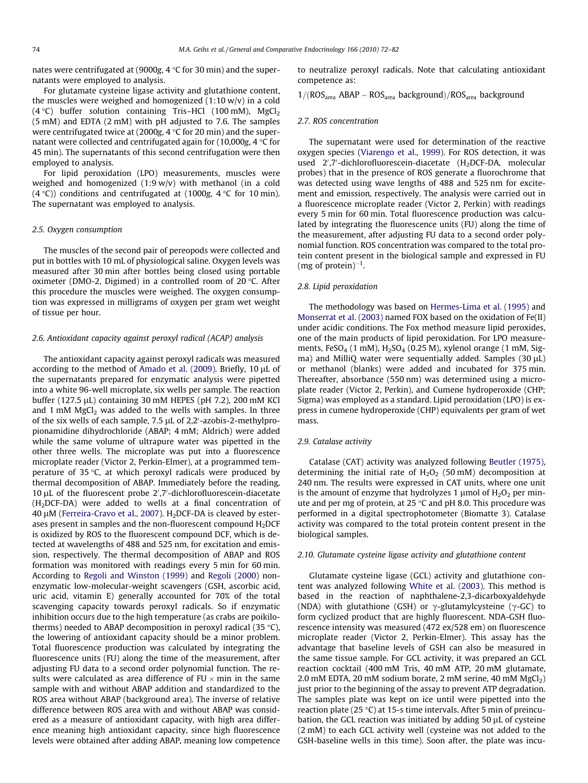nates were centrifugated at (9000g,  $4^{\circ}$ C for 30 min) and the supernatants were employed to analysis.

For glutamate cysteine ligase activity and glutathione content, the muscles were weighed and homogenized (1:10 w/v) in a cold (4 °C) buffer solution containing Tris-HCl (100 mM), MgCl<sub>2</sub> (5 mM) and EDTA (2 mM) with pH adjusted to 7.6. The samples were centrifugated twice at  $(2000g, 4 \degree C$  for 20 min) and the supernatant were collected and centrifugated again for  $(10,000g, 4 \degree C$  for 45 min). The supernatants of this second centrifugation were then employed to analysis.

For lipid peroxidation (LPO) measurements, muscles were weighed and homogenized (1:9 w/v) with methanol (in a cold (4 °C)) conditions and centrifugated at (1000g, 4 °C for 10 min). The supernatant was employed to analysis.

#### 2.5. Oxygen consumption

The muscles of the second pair of pereopods were collected and put in bottles with 10 mL of physiological saline. Oxygen levels was measured after 30 min after bottles being closed using portable oximeter (DMO-2, Digimed) in a controlled room of  $20^{\circ}$ C. After this procedure the muscles were weighed. The oxygen consumption was expressed in milligrams of oxygen per gram wet weight of tissue per hour.

#### 2.6. Antioxidant capacity against peroxyl radical (ACAP) analysis

The antioxidant capacity against peroxyl radicals was measured according to the method of [Amado et al. \(2009\).](#page-9-0) Briefly, 10  $\mu$ L of the supernatants prepared for enzymatic analysis were pipetted into a white 96-well microplate, six wells per sample. The reaction buffer (127.5  $\mu$ L) containing 30 mM HEPES (pH 7.2), 200 mM KCl and 1 mM  $MgCl<sub>2</sub>$  was added to the wells with samples. In three of the six wells of each sample, 7.5 µL of 2,2'-azobis-2-methylpropionamidine dihydrochloride (ABAP; 4 mM; Aldrich) were added while the same volume of ultrapure water was pipetted in the other three wells. The microplate was put into a fluorescence microplate reader (Victor 2, Perkin-Elmer), at a programmed temperature of 35 $\degree$ C, at which peroxyl radicals were produced by thermal decomposition of ABAP. Immediately before the reading, 10 µL of the fluorescent probe 2',7'-dichlorofluorescein-diacetate (H2DCF-DA) were added to wells at a final concentration of  $40 \mu$ M ([Ferreira-Cravo et al., 2007](#page-9-0)). H<sub>2</sub>DCF-DA is cleaved by esterases present in samples and the non-fluorescent compound  $H_2$ DCF is oxidized by ROS to the fluorescent compound DCF, which is detected at wavelengths of 488 and 525 nm, for excitation and emission, respectively. The thermal decomposition of ABAP and ROS formation was monitored with readings every 5 min for 60 min. According to [Regoli and Winston \(1999\)](#page-9-0) and [Regoli \(2000\)](#page-9-0) nonenzymatic low-molecular-weight scavengers (GSH, ascorbic acid, uric acid, vitamin E) generally accounted for 70% of the total scavenging capacity towards peroxyl radicals. So if enzymatic inhibition occurs due to the high temperature (as crabs are poikilotherms) needed to ABAP decomposition in peroxyl radical (35  $\degree$ C), the lowering of antioxidant capacity should be a minor problem. Total fluorescence production was calculated by integrating the fluorescence units (FU) along the time of the measurement, after adjusting FU data to a second order polynomial function. The results were calculated as area difference of  $FU \times min$  in the same sample with and without ABAP addition and standardized to the ROS area without ABAP (background area). The inverse of relative difference between ROS area with and without ABAP was considered as a measure of antioxidant capacity, with high area difference meaning high antioxidant capacity, since high fluorescence levels were obtained after adding ABAP, meaning low competence to neutralize peroxyl radicals. Note that calculating antioxidant competence as:

 $1/(ROS<sub>area</sub> ABAP - ROS<sub>area</sub> background)/ROS<sub>area</sub> background$ 

#### 2.7. ROS concentration

The supernatant were used for determination of the reactive oxygen species ([Viarengo et al., 1999](#page-10-0)). For ROS detection, it was used  $2^{\prime}$ ,7'-dichlorofluorescein-diacetate (H<sub>2</sub>DCF-DA, molecular probes) that in the presence of ROS generate a fluorochrome that was detected using wave lengths of 488 and 525 nm for excitement and emission, respectively. The analysis were carried out in a fluorescence microplate reader (Victor 2, Perkin) with readings every 5 min for 60 min. Total fluorescence production was calculated by integrating the fluorescence units (FU) along the time of the measurement, after adjusting FU data to a second order polynomial function. ROS concentration was compared to the total protein content present in the biological sample and expressed in FU  $(mg \text{ of protein})^{-1}$ .

#### 2.8. Lipid peroxidation

The methodology was based on [Hermes-Lima et al. \(1995\)](#page-9-0) and [Monserrat et al. \(2003\)](#page-9-0) named FOX based on the oxidation of Fe(II) under acidic conditions. The Fox method measure lipid peroxides, one of the main products of lipid peroxidation. For LPO measurements, FeSO<sub>4</sub> (1 mM),  $H<sub>2</sub>SO<sub>4</sub>$  (0.25 M), xylenol orange (1 mM, Sigma) and MilliQ water were sequentially added. Samples  $(30 \mu L)$ or methanol (blanks) were added and incubated for 375 min. Thereafter, absorbance (550 nm) was determined using a microplate reader (Victor 2, Perkin), and Cumene hydroperoxide (CHP; Sigma) was employed as a standard. Lipid peroxidation (LPO) is express in cumene hydroperoxide (CHP) equivalents per gram of wet mass.

## 2.9. Catalase activity

Catalase (CAT) activity was analyzed following [Beutler \(1975\),](#page-9-0) determining the initial rate of  $H_2O_2$  (50 mM) decomposition at 240 nm. The results were expressed in CAT units, where one unit is the amount of enzyme that hydrolyzes 1  $\mu$ mol of H<sub>2</sub>O<sub>2</sub> per minute and per mg of protein, at 25  $\degree$ C and pH 8.0. This procedure was performed in a digital spectrophotometer (Biomatte 3). Catalase activity was compared to the total protein content present in the biological samples.

#### 2.10. Glutamate cysteine ligase activity and glutathione content

Glutamate cysteine ligase (GCL) activity and glutathione content was analyzed following [White et al. \(2003\)](#page-10-0). This method is based in the reaction of naphthalene-2,3-dicarboxyaldehyde (NDA) with glutathione (GSH) or  $\gamma$ -glutamylcysteine ( $\gamma$ -GC) to form cyclized product that are highly fluorescent. NDA-GSH fluorescence intensity was measured (472 ex/528 em) on fluorescence microplate reader (Victor 2, Perkin-Elmer). This assay has the advantage that baseline levels of GSH can also be measured in the same tissue sample. For GCL activity, it was prepared an GCL reaction cocktail (400 mM Tris, 40 mM ATP, 20 mM glutamate, 2.0 mM EDTA, 20 mM sodium borate, 2 mM serine, 40 mM  $MgCl<sub>2</sub>$ ) just prior to the beginning of the assay to prevent ATP degradation. The samples plate was kept on ice until were pipetted into the reaction plate (25 $\degree$ C) at 15-s time intervals. After 5 min of preincubation, the GCL reaction was initiated by adding  $50 \mu L$  of cysteine (2 mM) to each GCL activity well (cysteine was not added to the GSH-baseline wells in this time). Soon after, the plate was incu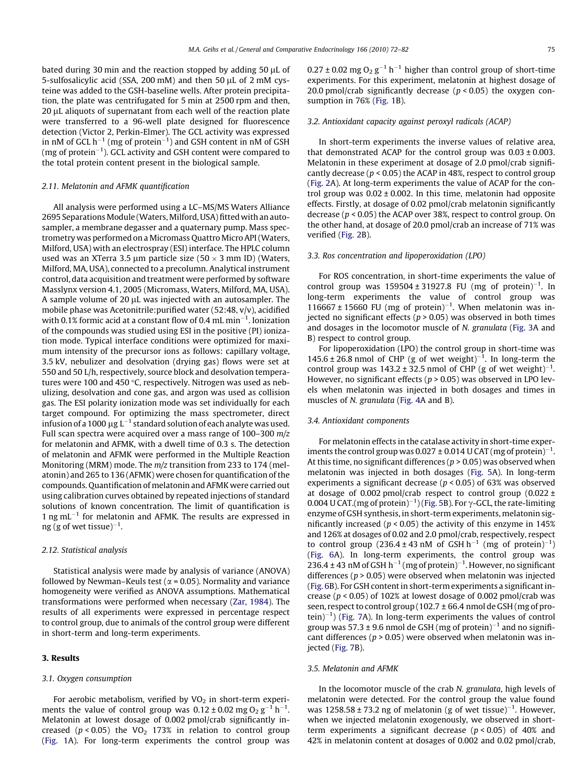bated during 30 min and the reaction stopped by adding 50  $\mu$ L of 5-sulfosalicylic acid (SSA, 200 mM) and then 50 µL of 2 mM cysteine was added to the GSH-baseline wells. After protein precipitation, the plate was centrifugated for 5 min at 2500 rpm and then, 20 µL aliquots of supernatant from each well of the reaction plate were transferred to a 96-well plate designed for fluorescence detection (Victor 2, Perkin-Elmer). The GCL activity was expressed in nM of GCL h $^{-1}$  (mg of protein $^{-1}$ ) and GSH content in nM of GSH (mg of protein $^{-1}$ ). GCL activity and GSH content were compared to the total protein content present in the biological sample.

### 2.11. Melatonin and AFMK quantification

All analysis were performed using a LC–MS/MS Waters Alliance 2695 Separations Module (Waters, Milford, USA) fitted with an autosampler, a membrane degasser and a quaternary pump. Mass spectrometry was performed on a Micromass Quattro Micro API (Waters, Milford, USA) with an electrospray (ESI) interface. The HPLC column used was an XTerra 3.5 µm particle size (50  $\times$  3 mm ID) (Waters, Milford, MA, USA), connected to a precolumn. Analytical instrument control, data acquisition and treatment were performed by software Masslynx version 4.1, 2005 (Micromass, Waters, Milford, MA, USA). A sample volume of  $20 \mu$ L was injected with an autosampler. The mobile phase was Acetonitrile:purified water (52:48, v/v), acidified with 0.1% formic acid at a constant flow of 0.4 mL min $^{-1}$ . Ionization of the compounds was studied using ESI in the positive (PI) ionization mode. Typical interface conditions were optimized for maximum intensity of the precursor ions as follows: capillary voltage, 3.5 kV, nebulizer and desolvation (drying gas) flows were set at 550 and 50 L/h, respectively, source block and desolvation temperatures were 100 and 450  $\degree$ C, respectively. Nitrogen was used as nebulizing, desolvation and cone gas, and argon was used as collision gas. The ESI polarity ionization mode was set individually for each target compound. For optimizing the mass spectrometer, direct infusion of a 1000  $\mu$ g L $^{-1}$  standard solution of each analyte was used. Full scan spectra were acquired over a mass range of 100–300 m/z for melatonin and AFMK, with a dwell time of 0.3 s. The detection of melatonin and AFMK were performed in the Multiple Reaction Monitoring (MRM) mode. The m/z transition from 233 to 174 (melatonin) and 265 to 136 (AFMK) were chosen for quantification of the compounds. Quantification of melatonin and AFMK were carried out using calibration curves obtained by repeated injections of standard solutions of known concentration. The limit of quantification is  $1$  ng mL $^{-1}$  for melatonin and AFMK. The results are expressed in  $\log$  (g of wet tissue) $^{-1}$ .

### 2.12. Statistical analysis

Statistical analysis were made by analysis of variance (ANOVA) followed by Newman–Keuls test ( $\alpha$  = 0.05). Normality and variance homogeneity were verified as ANOVA assumptions. Mathematical transformations were performed when necessary [\(Zar, 1984](#page-10-0)). The results of all experiments were expressed in percentage respect to control group, due to animals of the control group were different in short-term and long-term experiments.

# 3. Results

#### 3.1. Oxygen consumption

For aerobic metabolism, verified by  $VO<sub>2</sub>$  in short-term experiments the value of control group was  $0.12 \pm 0.02$  mg  $O_2$   $g^{-1}$   $h^{-1}$ . Melatonin at lowest dosage of 0.002 pmol/crab significantly increased ( $p < 0.05$ ) the VO<sub>2</sub> 173% in relation to control group ([Fig. 1](#page-4-0)A). For long-term experiments the control group was

 $0.27 \pm 0.02$  mg  $O_2$  g<sup>-1</sup> h<sup>-1</sup> higher than control group of short-time experiments. For this experiment, melatonin at highest dosage of 20.0 pmol/crab significantly decrease ( $p < 0.05$ ) the oxygen consumption in 76% ([Fig. 1](#page-4-0)B).

## 3.2. Antioxidant capacity against peroxyl radicals (ACAP)

In short-term experiments the inverse values of relative area, that demonstrated ACAP for the control group was  $0.03 \pm 0.003$ . Melatonin in these experiment at dosage of 2.0 pmol/crab significantly decrease ( $p < 0.05$ ) the ACAP in 48%, respect to control group ([Fig. 2A](#page-4-0)). At long-term experiments the value of ACAP for the control group was  $0.02 \pm 0.002$ . In this time, melatonin had opposite effects. Firstly, at dosage of 0.02 pmol/crab melatonin significantly decrease ( $p < 0.05$ ) the ACAP over 38%, respect to control group. On the other hand, at dosage of 20.0 pmol/crab an increase of 71% was verified ([Fig. 2](#page-4-0)B).

## 3.3. Ros concentration and lipoperoxidation (LPO)

For ROS concentration, in short-time experiments the value of control group was  $159504 \pm 31927.8$  FU (mg of protein)<sup>-1</sup>. In long-term experiments the value of control group was 116667 ± 15660 FU (mg of protein)<sup>-1</sup>. When melatonin was injected no significant effects ( $p > 0.05$ ) was observed in both times and dosages in the locomotor muscle of N. granulata ([Fig. 3](#page-5-0)A and B) respect to control group.

For lipoperoxidation (LPO) the control group in short-time was 145.6  $\pm$  26.8 nmol of CHP (g of wet weight)<sup>-1</sup>. In long-term the control group was  $143.2 \pm 32.5$  nmol of CHP (g of wet weight)<sup>-1</sup>. However, no significant effects ( $p > 0.05$ ) was observed in LPO levels when melatonin was injected in both dosages and times in muscles of N. granulata [\(Fig. 4A](#page-5-0) and B).

## 3.4. Antioxidant components

For melatonin effects in the catalase activity in short-time experiments the control group was 0.027  $\pm$  0.014 U CAT (mg of protein) $^{-1}$ . At this time, no significant differences ( $p > 0.05$ ) was observed when melatonin was injected in both dosages ([Fig. 5A](#page-6-0)). In long-term experiments a significant decrease ( $p$  < 0.05) of 63% was observed at dosage of 0.002 pmol/crab respect to control group  $(0.022 \pm 1)$ 0.004 U CAT.(mg of protein) $^{-1}$ ) [\(Fig. 5](#page-6-0)B). For  $\gamma$ -GCL, the rate-limiting enzyme of GSH synthesis, in short-term experiments, melatonin significantly increased ( $p < 0.05$ ) the activity of this enzyme in 145% and 126% at dosages of 0.02 and 2.0 pmol/crab, respectively, respect to control group  $(236.4 \pm 43 \text{ nM of GSH h}^{-1}$  (mg of protein)<sup>-1</sup>) ([Fig. 6A](#page-6-0)). In long-term experiments, the control group was 236.4  $\pm$  43 nM of GSH h<sup>-1</sup> (mg of protein)<sup>-1</sup>. However, no significant differences ( $p > 0.05$ ) were observed when melatonin was injected ([Fig. 6B](#page-6-0)). For GSH content in short-term experiments a significant increase ( $p < 0.05$ ) of 102% at lowest dosage of 0.002 pmol/crab was seen, respect to control group (102.7 ± 66.4 nmol de GSH (mg of pro- $\text{tein}$ ) [\(Fig. 7](#page-7-0)A). In long-term experiments the values of control group was 57.3  $\pm$  9.6 nmol de GSH (mg of protein) $^{-1}$  and no significant differences ( $p > 0.05$ ) were observed when melatonin was injected [\(Fig. 7](#page-7-0)B).

#### 3.5. Melatonin and AFMK

In the locomotor muscle of the crab N. granulata, high levels of melatonin were detected. For the control group the value found was  $1258.58 \pm 73.2$  ng of melatonin (g of wet tissue)<sup>-1</sup>. However, when we injected melatonin exogenously, we observed in shortterm experiments a significant decrease ( $p < 0.05$ ) of 40% and 42% in melatonin content at dosages of 0.002 and 0.02 pmol/crab,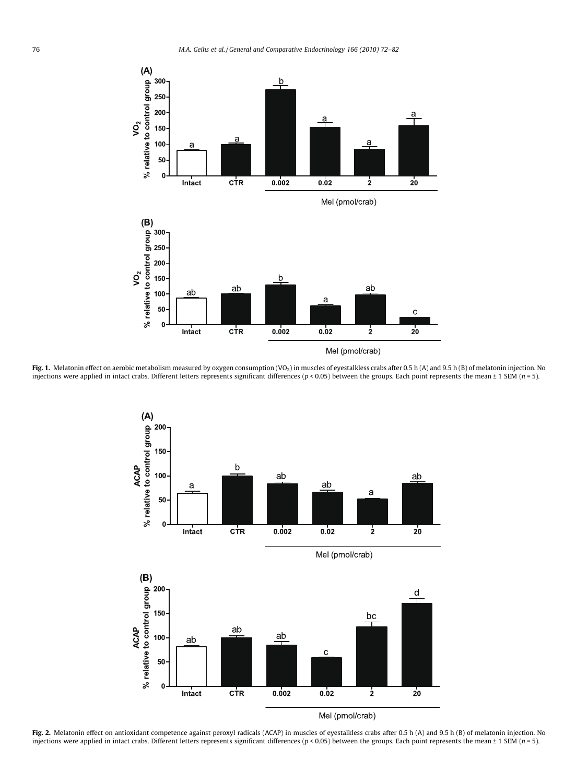<span id="page-4-0"></span>

Fig. 1. Melatonin effect on aerobic metabolism measured by oxygen consumption (VO<sub>2</sub>) in muscles of eyestalkless crabs after 0.5 h (A) and 9.5 h (B) of melatonin injection. No injections were applied in intact crabs. Different letters represents significant differences ( $p < 0.05$ ) between the groups. Each point represents the mean ± 1 SEM ( $n = 5$ ).



Fig. 2. Melatonin effect on antioxidant competence against peroxyl radicals (ACAP) in muscles of eyestalkless crabs after 0.5 h (A) and 9.5 h (B) of melatonin injection. No injections were applied in intact crabs. Different letters represents significant differences ( $p < 0.05$ ) between the groups. Each point represents the mean ± 1 SEM ( $n = 5$ ).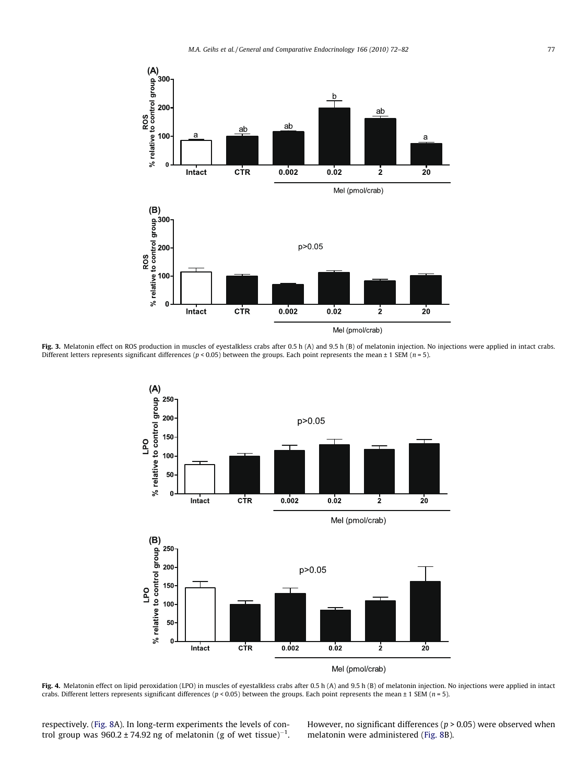<span id="page-5-0"></span>

Fig. 3. Melatonin effect on ROS production in muscles of eyestalkless crabs after 0.5 h (A) and 9.5 h (B) of melatonin injection. No injections were applied in intact crabs. Different letters represents significant differences ( $p < 0.05$ ) between the groups. Each point represents the mean  $\pm 1$  SEM ( $n = 5$ ).



Mel (pmol/crab)

Fig. 4. Melatonin effect on lipid peroxidation (LPO) in muscles of eyestalkless crabs after 0.5 h (A) and 9.5 h (B) of melatonin injection. No injections were applied in intact crabs. Different letters represents significant differences ( $p < 0.05$ ) between the groups. Each point represents the mean  $\pm$  1 SEM ( $n = 5$ ).

respectively. [\(Fig. 8A](#page-8-0)). In long-term experiments the levels of control group was 960.2 ± 74.92 ng of melatonin (g of wet tissue) $^{-1}$ .

However, no significant differences ( $p > 0.05$ ) were observed when melatonin were administered ([Fig. 8](#page-8-0)B).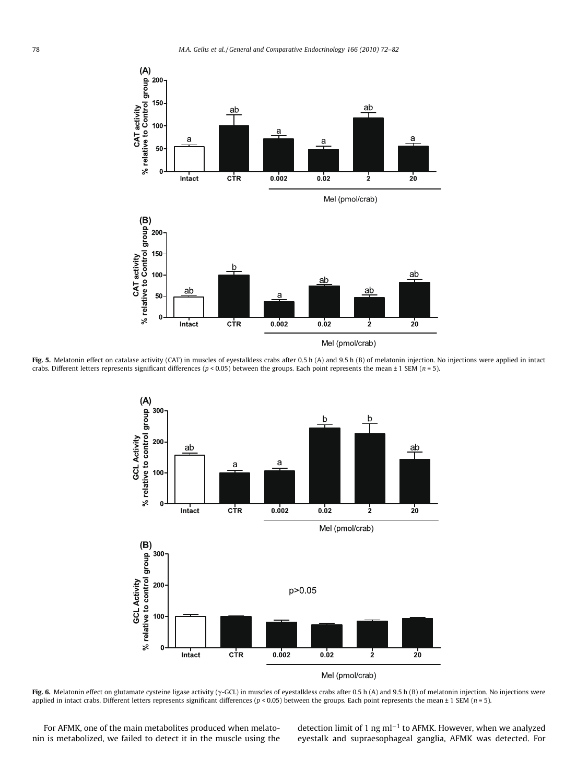<span id="page-6-0"></span>

Fig. 5. Melatonin effect on catalase activity (CAT) in muscles of eyestalkless crabs after 0.5 h (A) and 9.5 h (B) of melatonin injection. No injections were applied in intact crabs. Different letters represents significant differences ( $p < 0.05$ ) between the groups. Each point represents the mean  $\pm$  1 SEM ( $n = 5$ ).



Fig. 6. Melatonin effect on glutamate cysteine ligase activity ( $\gamma$ -GCL) in muscles of eyestalkless crabs after 0.5 h (A) and 9.5 h (B) of melatonin injection. No injections were applied in intact crabs. Different letters represents significant differences ( $p < 0.05$ ) between the groups. Each point represents the mean  $\pm$  1 SEM ( $n = 5$ ).

For AFMK, one of the main metabolites produced when melatonin is metabolized, we failed to detect it in the muscle using the

detection limit of 1 ng ml<sup> $-1$ </sup> to AFMK. However, when we analyzed eyestalk and supraesophageal ganglia, AFMK was detected. For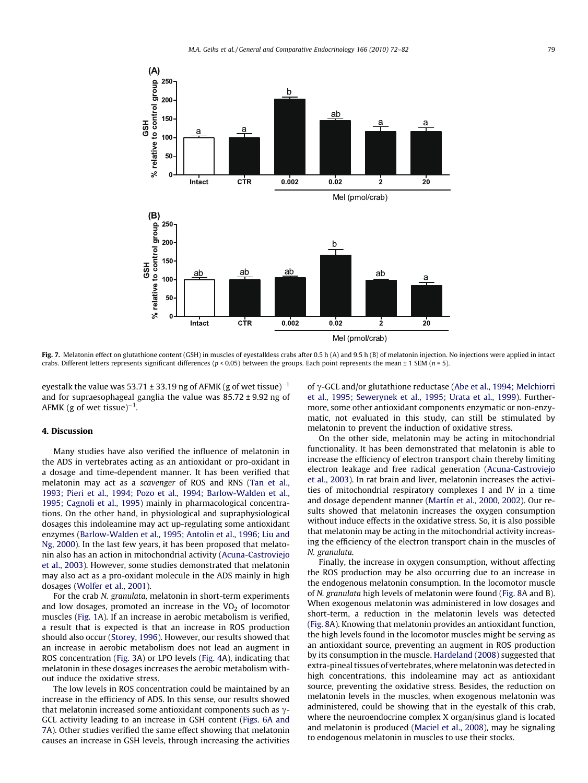<span id="page-7-0"></span>

Fig. 7. Melatonin effect on glutathione content (GSH) in muscles of eyestalkless crabs after 0.5 h (A) and 9.5 h (B) of melatonin injection. No injections were applied in intact crabs. Different letters represents significant differences ( $p < 0.05$ ) between the groups. Each point represents the mean  $\pm 1$  SEM ( $n = 5$ ).

eyestalk the value was 53.71  $\pm$  33.19 ng of AFMK (g of wet tissue) $^{-1}$ and for supraesophageal ganglia the value was 85.72 ± 9.92 ng of AFMK (g of wet tissue) $^{-1}$ .

## 4. Discussion

Many studies have also verified the influence of melatonin in the ADS in vertebrates acting as an antioxidant or pro-oxidant in a dosage and time-dependent manner. It has been verified that melatonin may act as a scavenger of ROS and RNS [\(Tan et al.,](#page-10-0) [1993; Pieri et al., 1994; Pozo et al., 1994; Barlow-Walden et al.,](#page-10-0) [1995; Cagnoli et al., 1995\)](#page-10-0) mainly in pharmacological concentrations. On the other hand, in physiological and supraphysiological dosages this indoleamine may act up-regulating some antioxidant enzymes [\(Barlow-Walden et al., 1995; Antolin et al., 1996; Liu and](#page-9-0) [Ng, 2000](#page-9-0)). In the last few years, it has been proposed that melatonin also has an action in mitochondrial activity ([Acuna-Castroviejo](#page-9-0) [et al., 2003](#page-9-0)). However, some studies demonstrated that melatonin may also act as a pro-oxidant molecule in the ADS mainly in high dosages ([Wolfer et al., 2001\)](#page-10-0).

For the crab N. granulata, melatonin in short-term experiments and low dosages, promoted an increase in the  $VO<sub>2</sub>$  of locomotor muscles ([Fig. 1](#page-4-0)A). If an increase in aerobic metabolism is verified, a result that is expected is that an increase in ROS production should also occur ([Storey, 1996\)](#page-10-0). However, our results showed that an increase in aerobic metabolism does not lead an augment in ROS concentration [\(Fig. 3A](#page-5-0)) or LPO levels ([Fig. 4](#page-5-0)A), indicating that melatonin in these dosages increases the aerobic metabolism without induce the oxidative stress.

The low levels in ROS concentration could be maintained by an increase in the efficiency of ADS. In this sense, our results showed that melatonin increased some antioxidant components such as  $\gamma$ -GCL activity leading to an increase in GSH content [\(Figs. 6A and](#page-6-0) [7](#page-6-0)A). Other studies verified the same effect showing that melatonin causes an increase in GSH levels, through increasing the activities of  $\gamma$ -GCL and/or glutathione reductase [\(Abe et al., 1994; Melchiorri](#page-9-0) [et al., 1995; Sewerynek et al., 1995; Urata et al., 1999](#page-9-0)). Furthermore, some other antioxidant components enzymatic or non-enzymatic, not evaluated in this study, can still be stimulated by melatonin to prevent the induction of oxidative stress.

On the other side, melatonin may be acting in mitochondrial functionality. It has been demonstrated that melatonin is able to increase the efficiency of electron transport chain thereby limiting electron leakage and free radical generation ([Acuna-Castroviejo](#page-9-0) [et al., 2003\)](#page-9-0). In rat brain and liver, melatonin increases the activities of mitochondrial respiratory complexes I and IV in a time and dosage dependent manner [\(Martín et al., 2000, 2002\)](#page-9-0). Our results showed that melatonin increases the oxygen consumption without induce effects in the oxidative stress. So, it is also possible that melatonin may be acting in the mitochondrial activity increasing the efficiency of the electron transport chain in the muscles of N. granulata.

Finally, the increase in oxygen consumption, without affecting the ROS production may be also occurring due to an increase in the endogenous melatonin consumption. In the locomotor muscle of N. granulata high levels of melatonin were found ([Fig. 8A](#page-8-0) and B). When exogenous melatonin was administered in low dosages and short-term, a reduction in the melatonin levels was detected ([Fig. 8](#page-8-0)A). Knowing that melatonin provides an antioxidant function, the high levels found in the locomotor muscles might be serving as an antioxidant source, preventing an augment in ROS production by its consumption in the muscle. [Hardeland \(2008\)](#page-9-0) suggested that extra-pineal tissues of vertebrates, where melatonin was detected in high concentrations, this indoleamine may act as antioxidant source, preventing the oxidative stress. Besides, the reduction on melatonin levels in the muscles, when exogenous melatonin was administered, could be showing that in the eyestalk of this crab, where the neuroendocrine complex X organ/sinus gland is located and melatonin is produced ([Maciel et al., 2008](#page-9-0)), may be signaling to endogenous melatonin in muscles to use their stocks.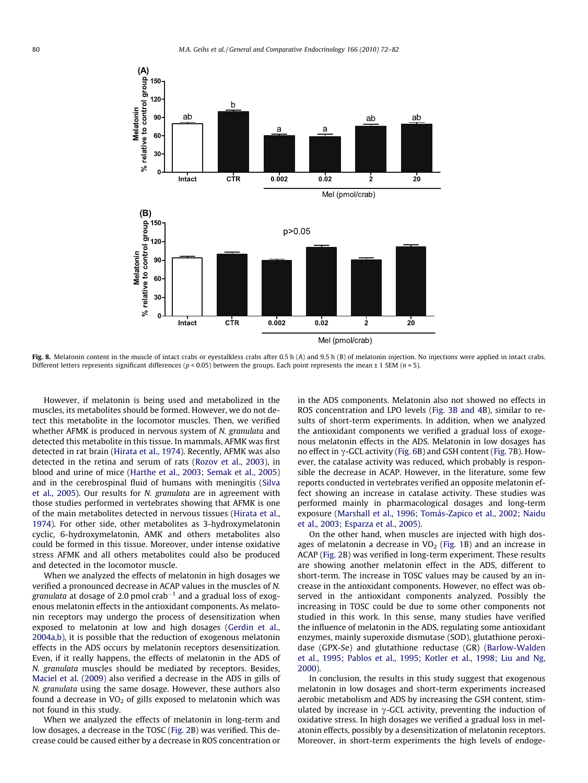<span id="page-8-0"></span>

Fig. 8. Melatonin content in the muscle of intact crabs or eyestalkless crabs after 0.5 h (A) and 9.5 h (B) of melatonin injection. No injections were applied in intact crabs. Different letters represents significant differences ( $p < 0.05$ ) between the groups. Each point represents the mean  $\pm$  1 SEM ( $n = 5$ ).

However, if melatonin is being used and metabolized in the muscles, its metabolites should be formed. However, we do not detect this metabolite in the locomotor muscles. Then, we verified whether AFMK is produced in nervous system of N. granulata and detected this metabolite in this tissue. In mammals, AFMK was first detected in rat brain [\(Hirata et al., 1974\)](#page-9-0). Recently, AFMK was also detected in the retina and serum of rats ([Rozov et al., 2003\)](#page-10-0), in blood and urine of mice ([Harthe et al., 2003; Semak et al., 2005\)](#page-9-0) and in the cerebrospinal fluid of humans with meningitis ([Silva](#page-10-0) [et al., 2005\)](#page-10-0). Our results for N. granulata are in agreement with those studies performed in vertebrates showing that AFMK is one of the main metabolites detected in nervous tissues ([Hirata et al.,](#page-9-0) [1974\)](#page-9-0). For other side, other metabolites as 3-hydroxymelatonin cyclic, 6-hydroxymelatonin, AMK and others metabolites also could be formed in this tissue. Moreover, under intense oxidative stress AFMK and all others metabolites could also be produced and detected in the locomotor muscle.

When we analyzed the effects of melatonin in high dosages we verified a pronounced decrease in ACAP values in the muscles of N. granulata at dosage of 2.0 pmol crab $^{-1}$  and a gradual loss of exogenous melatonin effects in the antioxidant components. As melatonin receptors may undergo the process of desensitization when exposed to melatonin at low and high dosages [\(Gerdin et al.,](#page-9-0) [2004a,b](#page-9-0)), it is possible that the reduction of exogenous melatonin effects in the ADS occurs by melatonin receptors desensitization. Even, if it really happens, the effects of melatonin in the ADS of N. granulata muscles should be mediated by receptors. Besides, [Maciel et al. \(2009\)](#page-9-0) also verified a decrease in the ADS in gills of N. granulata using the same dosage. However, these authors also found a decrease in  $VO<sub>2</sub>$  of gills exposed to melatonin which was not found in this study.

When we analyzed the effects of melatonin in long-term and low dosages, a decrease in the TOSC [\(Fig. 2](#page-4-0)B) was verified. This decrease could be caused either by a decrease in ROS concentration or in the ADS components. Melatonin also not showed no effects in ROS concentration and LPO levels ([Fig. 3B and 4B](#page-5-0)), similar to results of short-term experiments. In addition, when we analyzed the antioxidant components we verified a gradual loss of exogenous melatonin effects in the ADS. Melatonin in low dosages has no effect in  $\gamma$ -GCL activity [\(Fig. 6B](#page-6-0)) and GSH content [\(Fig. 7B](#page-7-0)). However, the catalase activity was reduced, which probably is responsible the decrease in ACAP. However, in the literature, some few reports conducted in vertebrates verified an opposite melatonin effect showing an increase in catalase activity. These studies was performed mainly in pharmacological dosages and long-term exposure [\(Marshall et al., 1996; Tomás-Zapico et al., 2002; Naidu](#page-9-0) [et al., 2003; Esparza et al., 2005](#page-9-0)).

On the other hand, when muscles are injected with high dosages of melatonin a decrease in  $VO<sub>2</sub>$  [\(Fig. 1](#page-4-0)B) and an increase in ACAP [\(Fig. 2](#page-4-0)B) was verified in long-term experiment. These results are showing another melatonin effect in the ADS, different to short-term. The increase in TOSC values may be caused by an increase in the antioxidant components. However, no effect was observed in the antioxidant components analyzed. Possibly the increasing in TOSC could be due to some other components not studied in this work. In this sense, many studies have verified the influence of melatonin in the ADS, regulating some antioxidant enzymes, mainly superoxide dismutase (SOD), glutathione peroxidase (GPX-Se) and glutathione reductase (GR) ([Barlow-Walden](#page-9-0) [et al., 1995; Pablos et al., 1995; Kotler et al., 1998; Liu and Ng,](#page-9-0) [2000](#page-9-0)).

In conclusion, the results in this study suggest that exogenous melatonin in low dosages and short-term experiments increased aerobic metabolism and ADS by increasing the GSH content, stimulated by increase in  $\gamma$ -GCL activity, preventing the induction of oxidative stress. In high dosages we verified a gradual loss in melatonin effects, possibly by a desensitization of melatonin receptors. Moreover, in short-term experiments the high levels of endoge-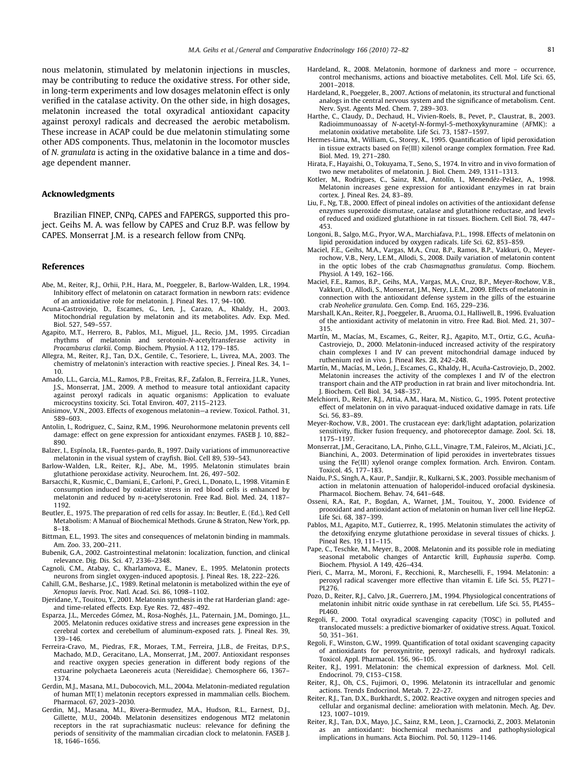<span id="page-9-0"></span>nous melatonin, stimulated by melatonin injections in muscles, may be contributing to reduce the oxidative stress. For other side, in long-term experiments and low dosages melatonin effect is only verified in the catalase activity. On the other side, in high dosages, melatonin increased the total oxyradical antioxidant capacity against peroxyl radicals and decreased the aerobic metabolism. These increase in ACAP could be due melatonin stimulating some other ADS components. Thus, melatonin in the locomotor muscles of N. granulata is acting in the oxidative balance in a time and dosage dependent manner.

#### Acknowledgments

Brazilian FINEP, CNPq, CAPES and FAPERGS, supported this project. Geihs M. A. was fellow by CAPES and Cruz B.P. was fellow by CAPES. Monserrat J.M. is a research fellow from CNPq.

#### References

- Abe, M., Reiter, R.J., Orhii, P.H., Hara, M., Poeggeler, B., Barlow-Walden, L.R., 1994. Inhibitory effect of melatonin on cataract formation in newborn rats: evidence of an antioxidative role for melatonin. J. Pineal Res. 17, 94–100.
- Acuna-Castroviejo, D., Escames, G., Len, J., Carazo, A., Khaldy, H., 2003. Mitochondrial regulation by melatonin and its metabolites. Adv. Exp. Med. Biol. 527, 549–557.
- Agapito, M.T., Herrero, B., Pablos, M.I., Miguel, J.L., Recio, J.M., 1995. Circadian rhythms of melatonin and serotonin-N-acetyltransferase activity in Procambarus clarkii. Comp. Biochem. Physiol. A 112, 179–185.
- Allegra, M., Reiter, R.J., Tan, D.X., Gentile, C., Tesoriere, L., Livrea, M.A., 2003. The chemistry of melatonin's interaction with reactive species. J. Pineal Res. 34, 1– 10.
- Amado, L.L., Garcia, M.L., Ramos, P.B., Freitas, R.F., Zafalon, B., Ferreira, J.L.R., Yunes, J.S., Monserrat, J.M., 2009. A method to measure total antioxidant capacity against peroxyl radicals in aquatic organisms: Application to evaluate microcystins toxicity. Sci. Total Environ. 407, 2115–2123.
- Anisimov, V.N., 2003. Effects of exogenous melatonin—a review. Toxicol. Pathol. 31, 589–603.
- Antolin, I., Rodriguez, C., Sainz, R.M., 1996. Neurohormone melatonin prevents cell damage: effect on gene expression for antioxidant enzymes. FASEB J. 10, 882– 890.
- Balzer, I., Espínola, I.R., Fuentes-pardo, B., 1997. Daily variations of immunoreactive melatonin in the visual system of crayfish. Biol. Cell 89, 539–543.
- Barlow-Walden, L.R., Reiter, R.J., Abe, M., 1995. Melatonin stimulates brain glutathione peroxidase activity. Neurochem. Int. 26, 497–502.
- Barsacchi, R., Kusmic, C., Damiani, E., Carloni, P., Greci, L., Donato, L., 1998. Vitamin E consumption induced by oxidative stress in red blood cells is enhanced by melatonin and reduced by n-acetylserotonin. Free Rad. Biol. Med. 24, 1187– 1192.
- Beutler, E., 1975. The preparation of red cells for assay. In: Beutler, E. (Ed.), Red Cell Metabolism: A Manual of Biochemical Methods. Grune & Straton, New York, pp. 8–18.
- Bittman, E.L., 1993. The sites and consequences of melatonin binding in mammals. Am. Zoo. 33, 200–211.
- Bubenik, G.A., 2002. Gastrointestinal melatonin: localization, function, and clinical relevance. Dig. Dis. Sci. 47, 2336–2348.
- Cagnoli, C.M., Atabay, C., Kharlamova, E., Manev, E., 1995. Melatonin protects neurons from singlet oxygen-induced apoptosis. J. Pineal Res. 18, 222–226.
- Cahill, G.M., Besharse, J.C., 1989. Retinal melatonin is metabolized within the eye of Xenopus laevis. Proc. Natl. Acad. Sci. 86, 1098–1102.
- Djeridane, Y., Touitou, Y., 2001. Melatonin synthesis in the rat Harderian gland: ageand time-related effects. Exp. Eye Res. 72, 487–492.
- Esparza, J.L., Mercedes Gómez, M., Rosa-Noghés, J.L., Paternain, J.M., Domingo, J.L., 2005. Melatonin reduces oxidative stress and increases gene expression in the cerebral cortex and cerebellum of aluminum-exposed rats. J. Pineal Res. 39, 139–146.
- Ferreira-Cravo, M., Piedras, F.R., Moraes, T.M., Ferreira, J.L.B., de Freitas, D.P.S., Machado, M.D., Geracitano, L.A., Monserrat, J.M., 2007. Antioxidant responses and reactive oxygen species generation in different body regions of the estuarine polychaeta Laeonereis acuta (Nereididae). Chemosphere 66, 1367– 1374.
- Gerdin, M.J., Masana, M.I., Dubocovich, M.L., 2004a. Melatonin-mediated regulation of human MT(1) melatonin receptors expressed in mammalian cells. Biochem. Pharmacol. 67, 2023–2030.
- Gerdin, M.J., Masana, M.I., Rivera-Bermudez, M.A., Hudson, R.L., Earnest, D.J., Gillette, M.U., 2004b. Melatonin desensitizes endogenous MT2 melatonin receptors in the rat suprachiasmatic nucleus: relevance for defining the periods of sensitivity of the mammalian circadian clock to melatonin. FASEB J. 18, 1646–1656.
- Hardeland, R., 2008. Melatonin, hormone of darkness and more occurrence, control mechanisms, actions and bioactive metabolites. Cell. Mol. Life Sci. 65, 2001–2018.
- Hardeland, R., Poeggeler, B., 2007. Actions of melatonin, its structural and functional analogs in the central nervous system and the significance of metabolism. Cent. Nerv. Syst. Agents Med. Chem. 7, 289–303.
- Harthe, C., Claudy, D., Dechaud, H., Vivien-Roels, B., Pevet, P., Claustrat, B., 2003. Radioimmunoassay of N-acetyl-N-formyl-5-methoxykynuramine (AFMK): a melatonin oxidative metabolite. Life Sci. 73, 1587–1597.
- Hermes-Lima, M., William, G., Storey, K., 1995. Quantification of lipid peroxidation in tissue extracts based on Fe(III) xilenol orange complex formation. Free Rad. Biol. Med. 19, 271–280.
- Hirata, F., Hayaishi, O., Tokuyama, T., Seno, S., 1974. In vitro and in vivo formation of two new metabolites of melatonin. J. Biol. Chem. 249, 1311–1313.
- Kotler, M., Rodrigues, C., Sainz, R.M., Antolín, I., Menendéz-Peláez, A., 1998. Melatonin increases gene expression for antioxidant enzymes in rat brain cortex. J. Pineal Res. 24, 83–89.
- Liu, F., Ng, T.B., 2000. Effect of pineal indoles on activities of the antioxidant defense enzymes superoxide dismutase, catalase and glutathione reductase, and levels of reduced and oxidized glutathione in rat tissues. Biochem. Cell Biol. 78, 447– 453.
- Longoni, B., Salgo, M.G., Pryor, W.A., Marchiafava, P.L., 1998. Effects of melatonin on lipid peroxidation induced by oxygen radicals. Life Sci. 62, 853–859.
- Maciel, F.E., Geihs, M.A., Vargas, M.A., Cruz, B.P., Ramos, B.P., Vakkuri, O., Meyerrochow, V.B., Nery, L.E.M., Allodi, S., 2008. Daily variation of melatonin content in the optic lobes of the crab Chasmagnathus granulatus. Comp. Biochem. Physiol. A 149, 162–166.
- Maciel, F.E., Ramos, B.P., Geihs, M.A., Vargas, M.A., Cruz, B.P., Meyer-Rochow, V.B., Vakkuri, O., Allodi, S., Monserrat, J.M., Nery, L.E.M., 2009. Effects of melatonin in connection with the antioxidant defense system in the gills of the estuarine crab Neohelice granulata. Gen. Comp. End. 165, 229–236.
- Marshall, K.An., Reiter, R.J., Poeggeler, B., Aruoma, O.I., Halliwell, B., 1996. Evaluation of the antioxidant activity of melatonin in vitro. Free Rad. Biol. Med. 21, 307– 315.
- Martín, M., Macías, M., Escames, G., Reiter, R.J., Agapito, M.T., Ortiz, G.G., Acuña-Castroviejo, D., 2000. Melatonin-induced increased activity of the respiratory chain complexes I and IV can prevent mitochondrial damage induced by ruthenium red in vivo. J. Pineal Res. 28, 242–248.
- Martín, M., Macías, M., León, J., Escames, G., Khaldy, H., Acuña-Castroviejo, D., 2002. Melatonin increases the activity of the complexes I and IV of the electron transport chain and the ATP production in rat brain and liver mitochondria. Int. J. Biochem. Cell Biol. 34, 348–357.
- Melchiorri, D., Reiter, R.J., Attia, A.M., Hara, M., Nistico, G., 1995. Potent protective effect of melatonin on in vivo paraquat-induced oxidative damage in rats. Life Sci. 56, 83–89.
- Meyer-Rochow, V.B., 2001. The crustacean eye: dark/light adaptation, polarization sensitivity, flicker fusion frequency, and photoreceptor damage. Zool. Sci. 18, 1175–1197.
- Monserrat, J.M., Geracitano, L.A., Pinho, G.L.L., Vinagre, T.M., Faleiros, M., Alciati, J.C., Bianchini, A., 2003. Determination of lipid peroxides in invertebrates tissues using the Fe(III) xylenol orange complex formation. Arch. Environ. Contam. Toxicol. 45, 177–183.
- Naidu, P.S., Singh, A., Kaur, P., Sandjir, R., Kulkarni, S.K., 2003. Possible mechanism of action in melatonin attenuation of haloperidol-induced orofacial dyskinesia. Pharmacol. Biochem. Behav. 74, 641–648.
- Osseni, R.A., Rat, P., Bogdan, A., Warnet, J.M., Touitou, Y., 2000. Evidence of prooxidant and antioxidant action of melatonin on human liver cell line HepG2. Life Sci. 68, 387–399.
- Pablos, M.I., Agapito, M.T., Gutierrez, R., 1995. Melatonin stimulates the activity of the detoxifying enzyme glutathione peroxidase in several tissues of chicks. J. Pineal Res. 19, 111–115.
- Pape, C., Teschke, M., Meyer, B., 2008. Melatonin and its possible role in mediating seasonal metabolic changes of Antarctic krill, Euphausia superba. Comp. Biochem. Physiol. A 149, 426–434.
- Pieri, C., Marra, M., Moroni, F., Recchioni, R., Marcheselli, F., 1994. Melatonin: a peroxyl radical scavenger more effective than vitamin E. Life Sci. 55, PL271– PL276.
- Pozo, D., Reiter, R.J., Calvo, J.R., Guerrero, J.M., 1994. Physiological concentrations of melatonin inhibit nitric oxide synthase in rat cerebellum. Life Sci. 55, PL455– PL460.
- Regoli, F., 2000. Total oxyradical scavenging capacity (TOSC) in polluted and translocated mussels: a predictive biomarker of oxidative stress. Aquat. Toxicol. 50, 351–361.
- Regoli, F., Winston, G.W., 1999. Quantification of total oxidant scavenging capacity of antioxidants for peroxynitrite, peroxyl radicals, and hydroxyl radicals. Toxicol. Appl. Pharmacol. 156, 96–105.
- Reiter, R.J., 1991. Melatonin: the chemical expression of darkness. Mol. Cell. Endocrinol. 79, C153–C158.
- Reiter, R.J., Oh, C.S., Fujimori, O., 1996. Melatonin its intracellular and genomic actions. Trends Endocrinol. Metab. 7, 22–27.
- Reiter, R.J., Tan, D.X., Burkhardt, S., 2002. Reactive oxygen and nitrogen species and cellular and organismal decline: amelioration with melatonin. Mech. Ag. Dev. 123, 1007–1019.
- Reiter, R.J., Tan, D.X., Mayo, J.C., Sainz, R.M., Leon, J., Czarnocki, Z., 2003. Melatonin as an antioxidant: biochemical mechanisms and pathophysiological implications in humans. Acta Biochim. Pol. 50, 1129–1146.